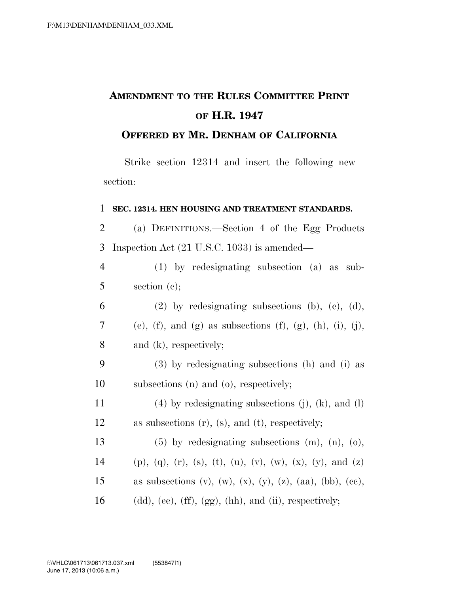# **AMENDMENT TO THE RULES COMMITTEE PRINT OF H.R. 1947**

### **OFFERED BY MR. DENHAM OF CALIFORNIA**

Strike section 12314 and insert the following new section:

| 1              | SEC. 12314. HEN HOUSING AND TREATMENT STANDARDS.                                          |
|----------------|-------------------------------------------------------------------------------------------|
| $\overline{2}$ | (a) DEFINITIONS.—Section 4 of the Egg Products                                            |
| 3              | Inspection Act (21 U.S.C. 1033) is amended—                                               |
| $\overline{4}$ | $(1)$ by redesignating subsection $(a)$ as sub-                                           |
| 5              | section $(c)$ ;                                                                           |
| 6              | $(2)$ by redesignating subsections (b), (c), (d),                                         |
| 7              | (e), (f), and (g) as subsections (f), (g), (h), (i), (j),                                 |
| 8              | and $(k)$ , respectively;                                                                 |
| 9              | (3) by redesignating subsections (h) and (i) as                                           |
| 10             | subsections (n) and (o), respectively;                                                    |
| 11             | $(4)$ by redesignating subsections (j), (k), and (l)                                      |
| 12             | as subsections $(r)$ , $(s)$ , and $(t)$ , respectively;                                  |
| 13             | $(5)$ by redesignating subsections $(m)$ , $(n)$ , $(o)$ ,                                |
| 14             | $(p)$ , $(q)$ , $(r)$ , $(s)$ , $(t)$ , $(u)$ , $(v)$ , $(w)$ , $(x)$ , $(y)$ , and $(z)$ |
| 15             | as subsections $(v)$ , $(w)$ , $(x)$ , $(y)$ , $(z)$ , $(aa)$ , $(bb)$ , $(ce)$ ,         |
| 16             | $(dd),$ (ee), $(ff), (gg), (hh),$ and $(ii),$ respectively;                               |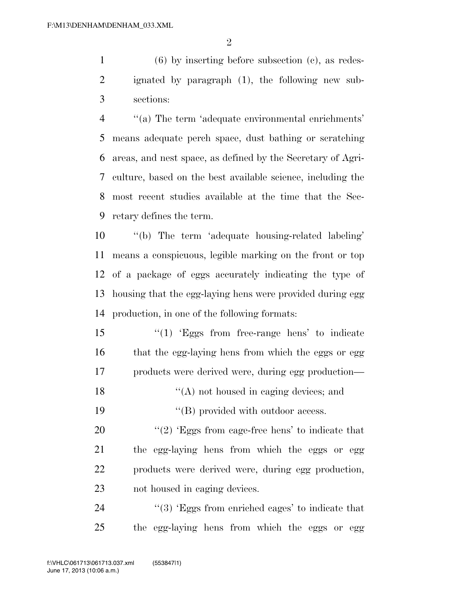(6) by inserting before subsection (c), as redes- ignated by paragraph (1), the following new sub-sections:

 ''(a) The term 'adequate environmental enrichments' means adequate perch space, dust bathing or scratching areas, and nest space, as defined by the Secretary of Agri- culture, based on the best available science, including the most recent studies available at the time that the Sec-retary defines the term.

 ''(b) The term 'adequate housing-related labeling' means a conspicuous, legible marking on the front or top of a package of eggs accurately indicating the type of housing that the egg-laying hens were provided during egg production, in one of the following formats:

15 ''(1) 'Eggs from free-range hens' to indicate 16 that the egg-laying hens from which the eggs or egg products were derived were, during egg production—

18  $"({\rm A})$  not housed in caging devices; and

19  $"$ (B) provided with outdoor access.

 $\frac{1}{2}$  (2) 'Eggs from cage-free hens' to indicate that the egg-laying hens from which the eggs or egg products were derived were, during egg production, not housed in caging devices.

24 ''(3) 'Eggs from enriched cages' to indicate that the egg-laying hens from which the eggs or egg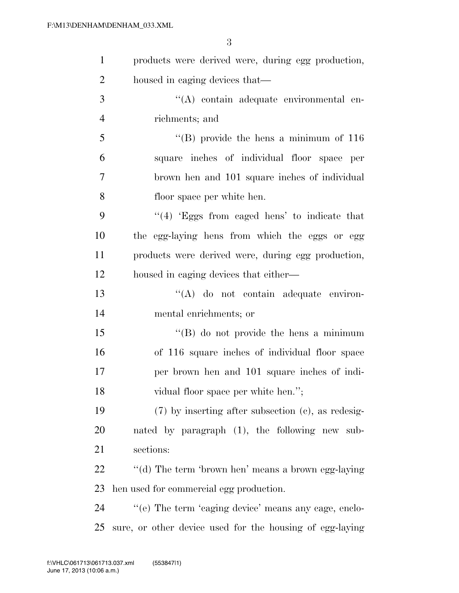| $\mathbf{1}$   | products were derived were, during egg production,       |
|----------------|----------------------------------------------------------|
| $\overline{2}$ | housed in caging devices that—                           |
| 3              | "(A) contain adequate environmental en-                  |
| $\overline{4}$ | richments; and                                           |
| 5              | $\cdot$ (B) provide the hens a minimum of 116            |
| 6              | square inches of individual floor space per              |
| 7              | brown hen and 101 square inches of individual            |
| 8              | floor space per white hen.                               |
| 9              | $\cdot$ (4) Eggs from caged hens' to indicate that       |
| 10             | the egg-laying hens from which the eggs or egg           |
| 11             | products were derived were, during egg production,       |
| 12             | housed in caging devices that either—                    |
| 13             | $\lq\lq$ do not contain adequate environ-                |
| 14             | mental enrichments; or                                   |
| 15             | $\lq\lq (B)$ do not provide the hens a minimum           |
| 16             | of 116 square inches of individual floor space           |
| 17             | per brown hen and 101 square inches of indi-             |
| 18             | vidual floor space per white hen.";                      |
| 19             | $(7)$ by inserting after subsection (c), as redesig-     |
| 20             | nated by paragraph (1), the following new sub-           |
| 21             | sections:                                                |
| 22             | "(d) The term 'brown hen' means a brown egg-laying       |
| 23             | hen used for commercial egg production.                  |
| 24             | "(e) The term 'caging device' means any cage, enclo-     |
| 25             | sure, or other device used for the housing of egg-laying |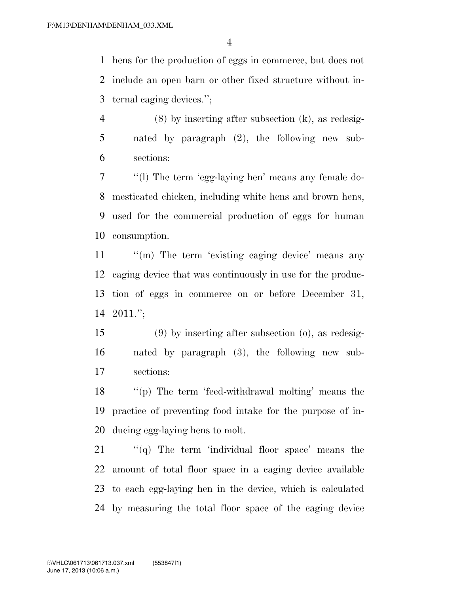hens for the production of eggs in commerce, but does not include an open barn or other fixed structure without in-ternal caging devices.'';

 (8) by inserting after subsection (k), as redesig- nated by paragraph (2), the following new sub-sections:

 ''(l) The term 'egg-laying hen' means any female do- mesticated chicken, including white hens and brown hens, used for the commercial production of eggs for human consumption.

11 ""(m) The term 'existing caging device' means any caging device that was continuously in use for the produc- tion of eggs in commerce on or before December 31, 2011.'';

 (9) by inserting after subsection (o), as redesig- nated by paragraph (3), the following new sub-sections:

 ''(p) The term 'feed-withdrawal molting' means the practice of preventing food intake for the purpose of in-ducing egg-laying hens to molt.

 ''(q) The term 'individual floor space' means the amount of total floor space in a caging device available to each egg-laying hen in the device, which is calculated by measuring the total floor space of the caging device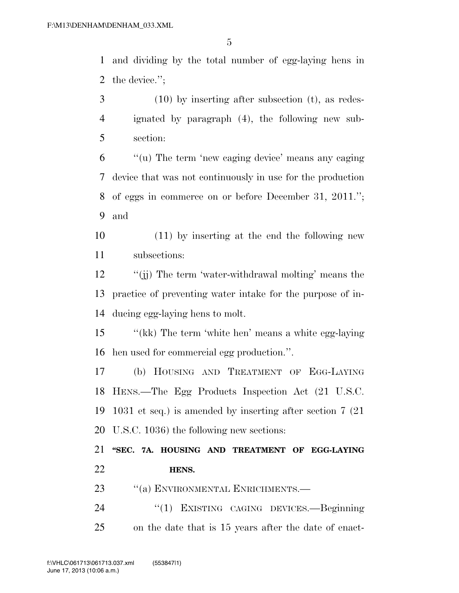and dividing by the total number of egg-laying hens in the device.'';

 (10) by inserting after subsection (t), as redes- ignated by paragraph (4), the following new sub-section:

 ''(u) The term 'new caging device' means any caging device that was not continuously in use for the production of eggs in commerce on or before December 31, 2011.''; and

 (11) by inserting at the end the following new subsections:

12 ''(ii) The term 'water-withdrawal molting' means the practice of preventing water intake for the purpose of in-ducing egg-laying hens to molt.

 ''(kk) The term 'white hen' means a white egg-laying hen used for commercial egg production.''.

 (b) HOUSING AND TREATMENT OF EGG-LAYING HENS.—The Egg Products Inspection Act (21 U.S.C. 1031 et seq.) is amended by inserting after section 7 (21 U.S.C. 1036) the following new sections:

 **''SEC. 7A. HOUSING AND TREATMENT OF EGG-LAYING HENS.** 

- 23 "(a) ENVIRONMENTAL ENRICHMENTS.—
- ''(1) EXISTING CAGING DEVICES.—Beginning on the date that is 15 years after the date of enact-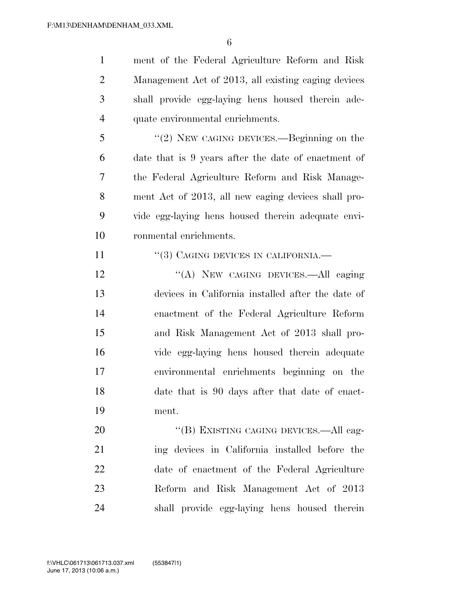ment of the Federal Agriculture Reform and Risk Management Act of 2013, all existing caging devices shall provide egg-laying hens housed therein ade-quate environmental enrichments.

 ''(2) NEW CAGING DEVICES.—Beginning on the date that is 9 years after the date of enactment of the Federal Agriculture Reform and Risk Manage- ment Act of 2013, all new caging devices shall pro- vide egg-laying hens housed therein adequate envi-ronmental enrichments.

11 "(3) CAGING DEVICES IN CALIFORNIA.

12 "(A) NEW CAGING DEVICES.—All caging devices in California installed after the date of enactment of the Federal Agriculture Reform and Risk Management Act of 2013 shall pro- vide egg-laying hens housed therein adequate environmental enrichments beginning on the date that is 90 days after that date of enact-ment.

20 "(B) EXISTING CAGING DEVICES.—All cag- ing devices in California installed before the date of enactment of the Federal Agriculture Reform and Risk Management Act of 2013 shall provide egg-laying hens housed therein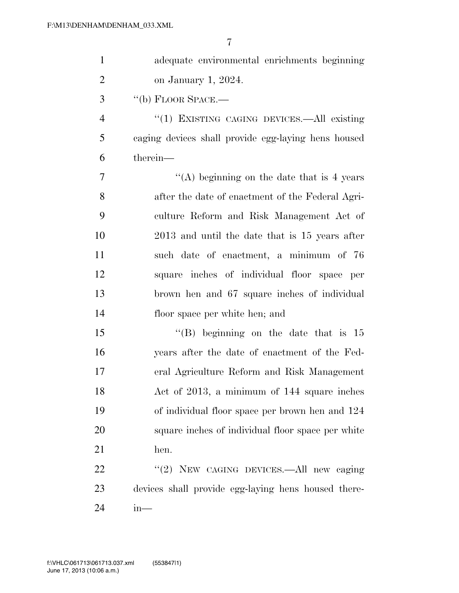| $\mathbf{1}$   | adequate environmental enrichments beginning        |
|----------------|-----------------------------------------------------|
| $\overline{2}$ | on January 1, 2024.                                 |
| 3              | $``$ (b) FLOOR SPACE.—                              |
| $\overline{4}$ | "(1) EXISTING CAGING DEVICES.—All existing          |
| 5              | caging devices shall provide egg-laying hens housed |
| 6              | therein-                                            |
| 7              | "(A) beginning on the date that is 4 years          |
| 8              | after the date of enactment of the Federal Agri-    |
| 9              | culture Reform and Risk Management Act of           |
| 10             | 2013 and until the date that is 15 years after      |
| 11             | such date of enactment, a minimum of 76             |
| 12             | square inches of individual floor space per         |
| 13             | brown hen and 67 square inches of individual        |
| 14             | floor space per white hen; and                      |
| 15             | "(B) beginning on the date that is $15$             |
| 16             | years after the date of enactment of the Fed-       |
| 17             | eral Agriculture Reform and Risk Management         |
| 18             | Act of 2013, a minimum of 144 square inches         |
| 19             | of individual floor space per brown hen and 124     |
| 20             | square inches of individual floor space per white   |
| 21             | hen.                                                |
| 22             | "(2) NEW CAGING DEVICES.—All new caging             |
| 23             | devices shall provide egg-laying hens housed there- |
| 24             | $in$ —                                              |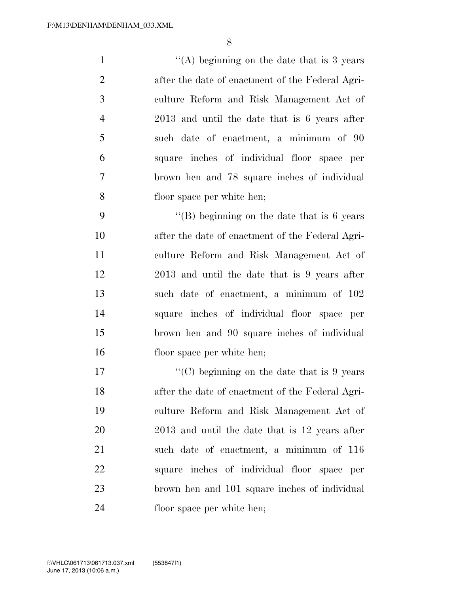1 ''(A) beginning on the date that is 3 years after the date of enactment of the Federal Agri- culture Reform and Risk Management Act of 2013 and until the date that is 6 years after such date of enactment, a minimum of 90 square inches of individual floor space per brown hen and 78 square inches of individual floor space per white hen;

 $"$ (B) beginning on the date that is 6 years after the date of enactment of the Federal Agri- culture Reform and Risk Management Act of 2013 and until the date that is 9 years after such date of enactment, a minimum of 102 square inches of individual floor space per brown hen and 90 square inches of individual floor space per white hen;

 $\langle \text{C}(\text{C}) \rangle$  beginning on the date that is 9 years after the date of enactment of the Federal Agri- culture Reform and Risk Management Act of 2013 and until the date that is 12 years after such date of enactment, a minimum of 116 square inches of individual floor space per brown hen and 101 square inches of individual floor space per white hen;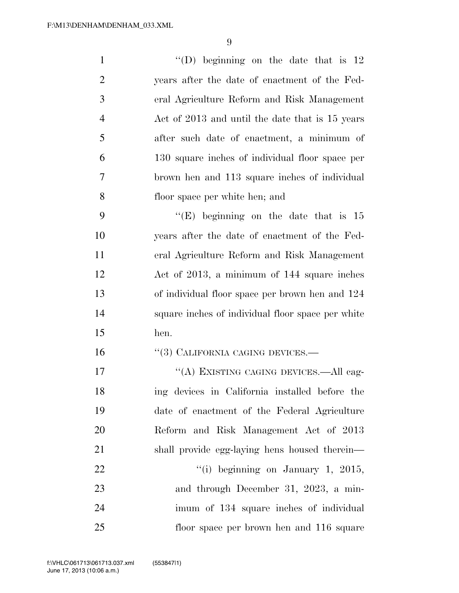| $\mathbf{1}$   | "(D) beginning on the date that is $12$           |
|----------------|---------------------------------------------------|
| $\overline{2}$ | years after the date of enactment of the Fed-     |
| 3              | eral Agriculture Reform and Risk Management       |
| $\overline{4}$ | Act of 2013 and until the date that is 15 years   |
| 5              | after such date of enactment, a minimum of        |
| 6              | 130 square inches of individual floor space per   |
| $\overline{7}$ | brown hen and 113 square inches of individual     |
| 8              | floor space per white hen; and                    |
| 9              | "(E) beginning on the date that is $15$           |
| 10             | years after the date of enactment of the Fed-     |
| 11             | eral Agriculture Reform and Risk Management       |
| 12             | Act of 2013, a minimum of 144 square inches       |
| 13             | of individual floor space per brown hen and 124   |
| 14             | square inches of individual floor space per white |
| 15             | hen.                                              |
| 16             | "(3) CALIFORNIA CAGING DEVICES.-                  |
| 17             | "(A) EXISTING CAGING DEVICES.—All cag-            |
| 18             | ing devices in California installed before the    |
| 19             | date of enactment of the Federal Agriculture      |
| 20             | Reform and Risk Management Act of 2013            |
| 21             | shall provide egg-laying hens housed therein—     |
| 22             | "(i) beginning on January 1, 2015,                |
| 23             | and through December 31, 2023, a min-             |
| 24             | imum of 134 square inches of individual           |
| 25             | floor space per brown hen and 116 square          |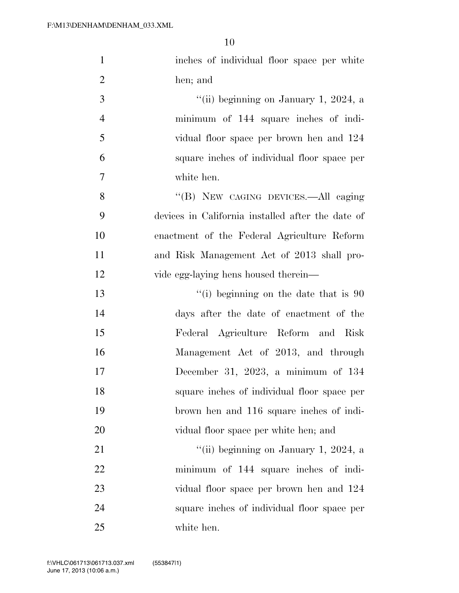| $\mathbf{1}$   | inches of individual floor space per white        |
|----------------|---------------------------------------------------|
| $\overline{2}$ | hen; and                                          |
| 3              | "(ii) beginning on January 1, 2024, a             |
| $\overline{4}$ | minimum of 144 square inches of indi-             |
| 5              | vidual floor space per brown hen and 124          |
| 6              | square inches of individual floor space per       |
| $\tau$         | white hen.                                        |
| 8              | "(B) NEW CAGING DEVICES.—All caging               |
| 9              | devices in California installed after the date of |
| 10             | enactment of the Federal Agriculture Reform       |
| 11             | and Risk Management Act of 2013 shall pro-        |
| 12             | vide egg-laying hens housed therein—              |
| 13             | "(i) beginning on the date that is $90$           |
| 14             | days after the date of enactment of the           |
| 15             | Federal Agriculture Reform and Risk               |
| 16             | Management Act of 2013, and through               |
| 17             | December 31, 2023, a minimum of $134$             |
| 18             | square inches of individual floor space per       |
| 19             | brown hen and 116 square inches of indi-          |
| 20             | vidual floor space per white hen; and             |
| 21             | "(ii) beginning on January 1, 2024, a             |
| 22             | minimum of 144 square inches of indi-             |
| 23             | vidual floor space per brown hen and 124          |
| 24             | square inches of individual floor space per       |
| 25             | white hen.                                        |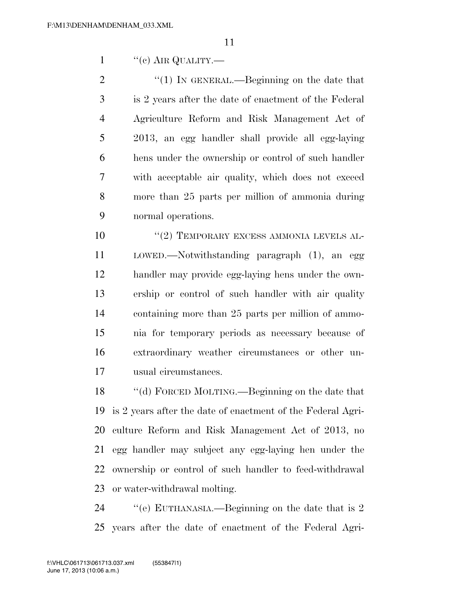"(c) AIR QUALITY.—

 $\frac{1}{2}$  (1) In GENERAL.—Beginning on the date that is 2 years after the date of enactment of the Federal Agriculture Reform and Risk Management Act of 2013, an egg handler shall provide all egg-laying hens under the ownership or control of such handler with acceptable air quality, which does not exceed more than 25 parts per million of ammonia during normal operations.

 $(2)$  TEMPORARY EXCESS AMMONIA LEVELS AL- LOWED.—Notwithstanding paragraph (1), an egg handler may provide egg-laying hens under the own- ership or control of such handler with air quality containing more than 25 parts per million of ammo- nia for temporary periods as necessary because of extraordinary weather circumstances or other un-usual circumstances.

 ''(d) FORCED MOLTING.—Beginning on the date that is 2 years after the date of enactment of the Federal Agri- culture Reform and Risk Management Act of 2013, no egg handler may subject any egg-laying hen under the ownership or control of such handler to feed-withdrawal or water-withdrawal molting.

24 ''(e) EUTHANASIA.—Beginning on the date that is 2 years after the date of enactment of the Federal Agri-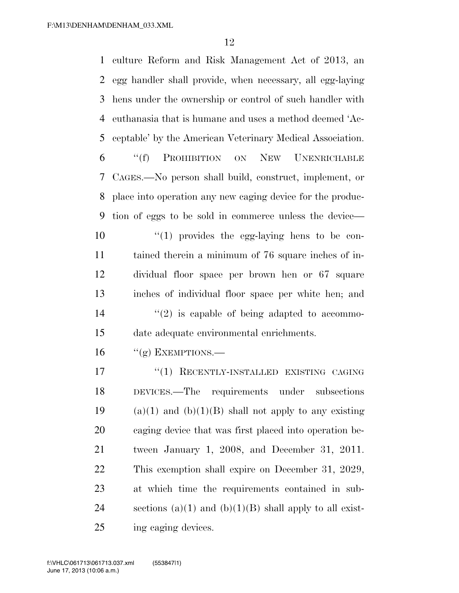culture Reform and Risk Management Act of 2013, an egg handler shall provide, when necessary, all egg-laying hens under the ownership or control of such handler with euthanasia that is humane and uses a method deemed 'Ac- ceptable' by the American Veterinary Medical Association. ''(f) PROHIBITION ON NEW UNENRICHABLE CAGES.—No person shall build, construct, implement, or place into operation any new caging device for the produc- tion of eggs to be sold in commerce unless the device—  $\frac{10}{10}$  provides the egg-laying hens to be con- tained therein a minimum of 76 square inches of in- dividual floor space per brown hen or 67 square inches of individual floor space per white hen; and  $(2)$  is capable of being adapted to accommo- date adequate environmental enrichments. "(g) EXEMPTIONS.— 17 "(1) RECENTLY-INSTALLED EXISTING CAGING DEVICES.—The requirements under subsections 19 (a)(1) and (b)(1)(B) shall not apply to any existing caging device that was first placed into operation be- tween January 1, 2008, and December 31, 2011. This exemption shall expire on December 31, 2029, at which time the requirements contained in sub-24 sections (a)(1) and (b)(1)(B) shall apply to all exist-ing caging devices.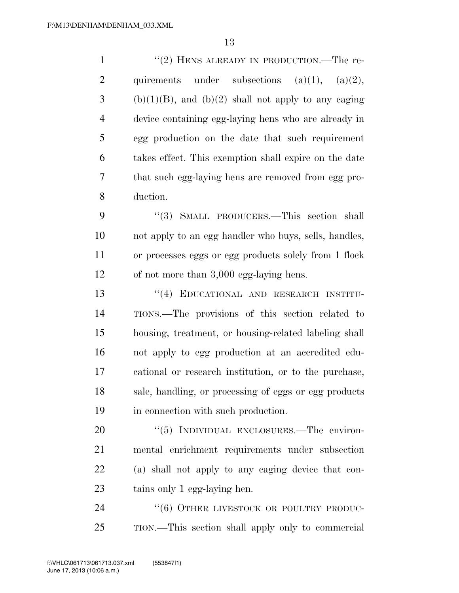1 ''(2) HENS ALREADY IN PRODUCTION.—The re-2 quirements under subsections  $(a)(1)$ ,  $(a)(2)$ , (b)(1)(B), and (b)(2) shall not apply to any caging device containing egg-laying hens who are already in egg production on the date that such requirement takes effect. This exemption shall expire on the date that such egg-laying hens are removed from egg pro-duction.

9 "(3) SMALL PRODUCERS.—This section shall not apply to an egg handler who buys, sells, handles, or processes eggs or egg products solely from 1 flock of not more than 3,000 egg-laying hens.

 ''(4) EDUCATIONAL AND RESEARCH INSTITU- TIONS.—The provisions of this section related to housing, treatment, or housing-related labeling shall not apply to egg production at an accredited edu- cational or research institution, or to the purchase, sale, handling, or processing of eggs or egg products in connection with such production.

20 "(5) INDIVIDUAL ENCLOSURES.—The environ- mental enrichment requirements under subsection (a) shall not apply to any caging device that con-tains only 1 egg-laying hen.

24 "(6) OTHER LIVESTOCK OR POULTRY PRODUC-TION.—This section shall apply only to commercial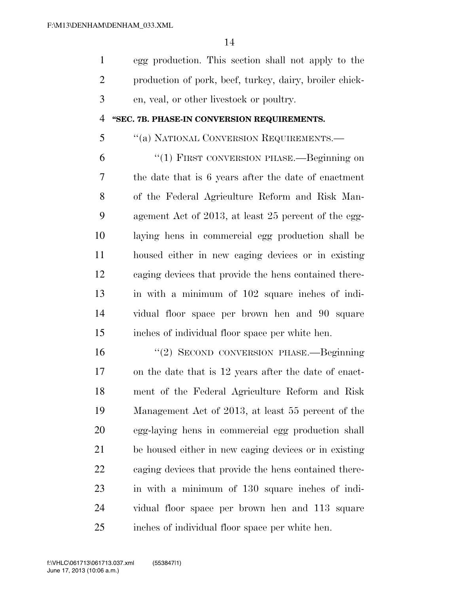egg production. This section shall not apply to the production of pork, beef, turkey, dairy, broiler chick-en, veal, or other livestock or poultry.

#### **''SEC. 7B. PHASE-IN CONVERSION REQUIREMENTS.**

#### ''(a) NATIONAL CONVERSION REQUIREMENTS.—

 ''(1) FIRST CONVERSION PHASE.—Beginning on the date that is 6 years after the date of enactment of the Federal Agriculture Reform and Risk Man- agement Act of 2013, at least 25 percent of the egg- laying hens in commercial egg production shall be housed either in new caging devices or in existing caging devices that provide the hens contained there- in with a minimum of 102 square inches of indi- vidual floor space per brown hen and 90 square inches of individual floor space per white hen.

 ''(2) SECOND CONVERSION PHASE.—Beginning on the date that is 12 years after the date of enact- ment of the Federal Agriculture Reform and Risk Management Act of 2013, at least 55 percent of the egg-laying hens in commercial egg production shall be housed either in new caging devices or in existing caging devices that provide the hens contained there- in with a minimum of 130 square inches of indi- vidual floor space per brown hen and 113 square inches of individual floor space per white hen.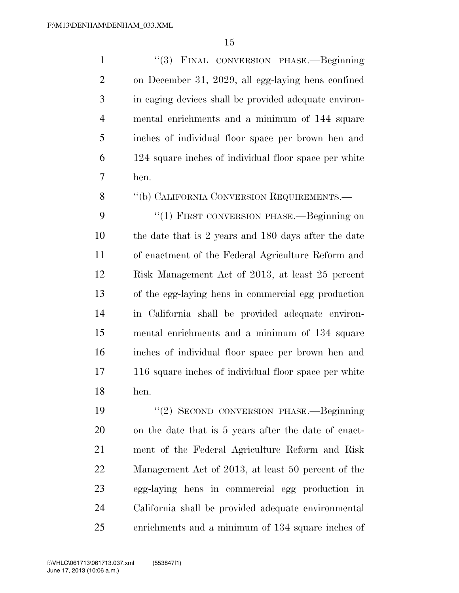''(3) FINAL CONVERSION PHASE.—Beginning on December 31, 2029, all egg-laying hens confined in caging devices shall be provided adequate environ- mental enrichments and a minimum of 144 square inches of individual floor space per brown hen and 124 square inches of individual floor space per white hen.

8 "(b) CALIFORNIA CONVERSION REQUIREMENTS.—

9 "(1) FIRST CONVERSION PHASE.—Beginning on the date that is 2 years and 180 days after the date of enactment of the Federal Agriculture Reform and Risk Management Act of 2013, at least 25 percent of the egg-laying hens in commercial egg production in California shall be provided adequate environ- mental enrichments and a minimum of 134 square inches of individual floor space per brown hen and 116 square inches of individual floor space per white hen.

 ''(2) SECOND CONVERSION PHASE.—Beginning on the date that is 5 years after the date of enact- ment of the Federal Agriculture Reform and Risk Management Act of 2013, at least 50 percent of the egg-laying hens in commercial egg production in California shall be provided adequate environmental enrichments and a minimum of 134 square inches of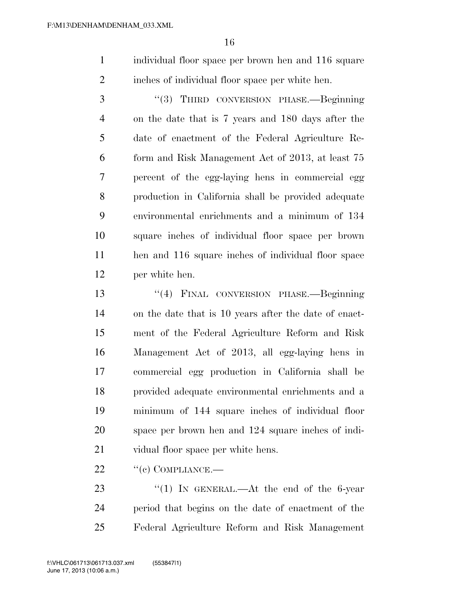individual floor space per brown hen and 116 square inches of individual floor space per white hen.

 ''(3) THIRD CONVERSION PHASE.—Beginning on the date that is 7 years and 180 days after the date of enactment of the Federal Agriculture Re- form and Risk Management Act of 2013, at least 75 percent of the egg-laying hens in commercial egg production in California shall be provided adequate environmental enrichments and a minimum of 134 square inches of individual floor space per brown hen and 116 square inches of individual floor space per white hen.

 ''(4) FINAL CONVERSION PHASE.—Beginning on the date that is 10 years after the date of enact- ment of the Federal Agriculture Reform and Risk Management Act of 2013, all egg-laying hens in commercial egg production in California shall be provided adequate environmental enrichments and a minimum of 144 square inches of individual floor space per brown hen and 124 square inches of indi-21 vidual floor space per white hens.

22 "(c) COMPLIANCE.—

23 "(1) In GENERAL.—At the end of the 6-year period that begins on the date of enactment of the Federal Agriculture Reform and Risk Management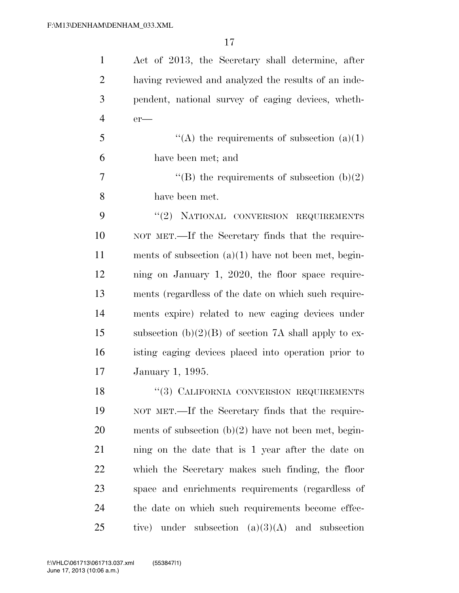| $\mathbf{1}$   | Act of 2013, the Secretary shall determine, after       |
|----------------|---------------------------------------------------------|
| $\overline{2}$ | having reviewed and analyzed the results of an inde-    |
| 3              | pendent, national survey of caging devices, wheth-      |
| $\overline{4}$ | $er$ —                                                  |
| 5              | "(A) the requirements of subsection $(a)(1)$            |
| 6              | have been met; and                                      |
| 7              | "(B) the requirements of subsection $(b)(2)$            |
| 8              | have been met.                                          |
| 9              | $``(2)$ NATIONAL CONVERSION REQUIREMENTS                |
| 10             | NOT MET.—If the Secretary finds that the require-       |
| 11             | ments of subsection $(a)(1)$ have not been met, begin-  |
| 12             | ning on January 1, 2020, the floor space require-       |
| 13             | ments (regardless of the date on which such require-    |
| 14             | ments expire) related to new caging devices under       |
| 15             | subsection $(b)(2)(B)$ of section 7A shall apply to ex- |
| 16             | isting caging devices placed into operation prior to    |
| 17             | January 1, 1995.                                        |
| 18             | "(3) CALIFORNIA CONVERSION REQUIREMENTS                 |
| 19             | NOT MET.—If the Secretary finds that the require-       |
| 20             | ments of subsection $(b)(2)$ have not been met, begin-  |
| 21             | ning on the date that is 1 year after the date on       |
| 22             | which the Secretary makes such finding, the floor       |
| 23             | space and enrichments requirements (regardless of       |
| 24             | the date on which such requirements become effec-       |
| 25             | tive) under subsection $(a)(3)(A)$ and subsection       |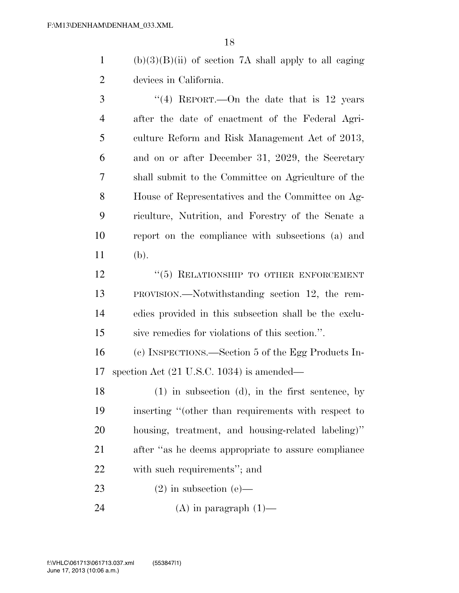1 (b)(3)(B)(ii) of section 7A shall apply to all caging devices in California.

3 "(4) REPORT.—On the date that is 12 years after the date of enactment of the Federal Agri- culture Reform and Risk Management Act of 2013, and on or after December 31, 2029, the Secretary shall submit to the Committee on Agriculture of the House of Representatives and the Committee on Ag- riculture, Nutrition, and Forestry of the Senate a report on the compliance with subsections (a) and (b).

12 <sup>''</sup>(5) RELATIONSHIP TO OTHER ENFORCEMENT PROVISION.—Notwithstanding section 12, the rem- edies provided in this subsection shall be the exclu-sive remedies for violations of this section.''.

 (c) INSPECTIONS.—Section 5 of the Egg Products In-spection Act (21 U.S.C. 1034) is amended—

 (1) in subsection (d), in the first sentence, by inserting ''(other than requirements with respect to housing, treatment, and housing-related labeling)'' after ''as he deems appropriate to assure compliance with such requirements''; and

23 (2) in subsection (e)—

24 (A) in paragraph  $(1)$ —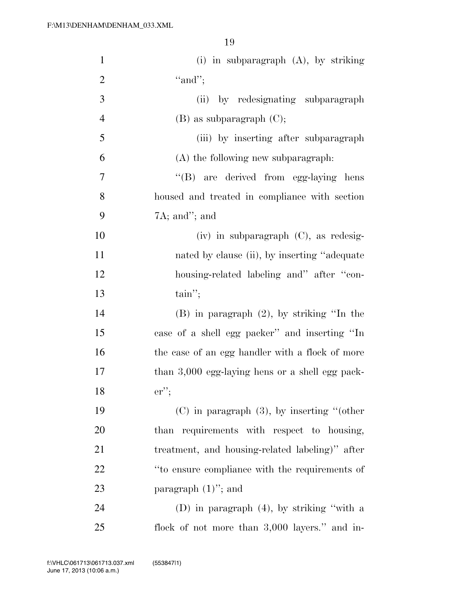| $\mathbf{1}$   | (i) in subparagraph $(A)$ , by striking         |
|----------------|-------------------------------------------------|
| $\overline{2}$ | "and";                                          |
| 3              | (ii)<br>by redesignating subparagraph           |
| $\overline{4}$ | $(B)$ as subparagraph $(C)$ ;                   |
| 5              | (iii) by inserting after subparagraph           |
| 6              | $(A)$ the following new subparagraph:           |
| $\overline{7}$ | "(B) are derived from egg-laying hens           |
| 8              | housed and treated in compliance with section   |
| 9              | $7A$ ; and"; and                                |
| 10             | $(iv)$ in subparagraph $(C)$ , as redesig-      |
| 11             | nated by clause (ii), by inserting "adequate"   |
| 12             | housing-related labeling and" after "con-       |
| 13             | $\text{tain''};$                                |
| 14             | $(B)$ in paragraph $(2)$ , by striking "In the  |
| 15             | case of a shell egg packer" and inserting "In   |
| 16             | the case of an egg handler with a flock of more |
| 17             | than 3,000 egg-laying hens or a shell egg pack- |
| 18             | $er$ ":                                         |
| 19             | $(C)$ in paragraph $(3)$ , by inserting "(other |
| 20             | than requirements with respect to housing,      |
| 21             | treatment, and housing-related labeling)" after |
| 22             | "to ensure compliance with the requirements of  |
| 23             | paragraph $(1)$ "; and                          |
| 24             | (D) in paragraph $(4)$ , by striking "with a    |
| 25             | flock of not more than 3,000 layers." and in-   |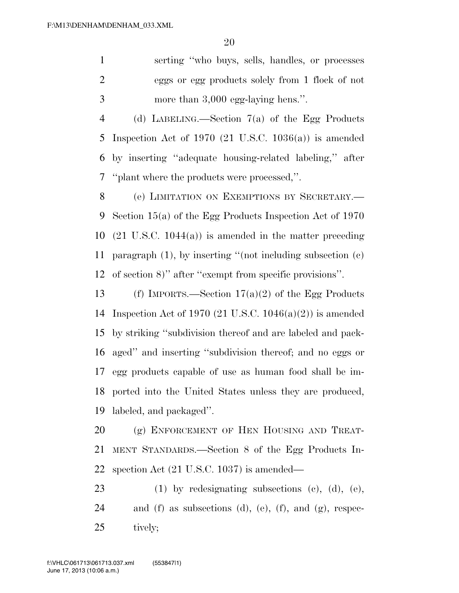serting ''who buys, sells, handles, or processes eggs or egg products solely from 1 flock of not more than 3,000 egg-laying hens.''.

 (d) LABELING.—Section 7(a) of the Egg Products Inspection Act of 1970 (21 U.S.C. 1036(a)) is amended by inserting ''adequate housing-related labeling,'' after ''plant where the products were processed,''.

 (e) LIMITATION ON EXEMPTIONS BY SECRETARY.— Section 15(a) of the Egg Products Inspection Act of 1970 (21 U.S.C. 1044(a)) is amended in the matter preceding paragraph (1), by inserting ''(not including subsection (c) of section 8)'' after ''exempt from specific provisions''.

13 (f) IMPORTS.—Section  $17(a)(2)$  of the Egg Products Inspection Act of 1970 (21 U.S.C. 1046(a)(2)) is amended by striking ''subdivision thereof and are labeled and pack- aged'' and inserting ''subdivision thereof; and no eggs or egg products capable of use as human food shall be im- ported into the United States unless they are produced, labeled, and packaged''.

20 (g) ENFORCEMENT OF HEN HOUSING AND TREAT- MENT STANDARDS.—Section 8 of the Egg Products In-spection Act (21 U.S.C. 1037) is amended—

 (1) by redesignating subsections (c), (d), (e), and (f) as subsections (d), (e), (f), and (g), respec-tively;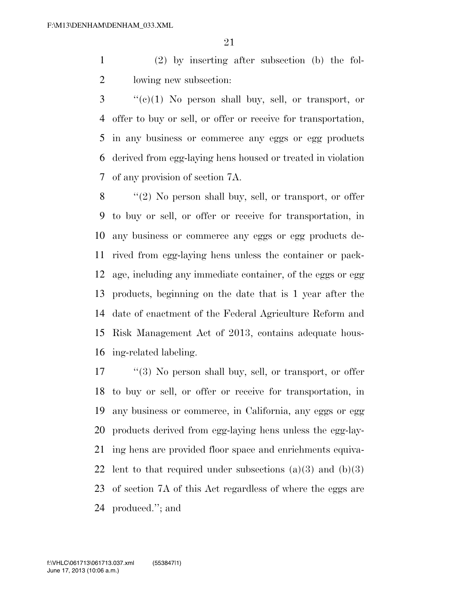(2) by inserting after subsection (b) the fol-lowing new subsection:

 ''(c)(1) No person shall buy, sell, or transport, or offer to buy or sell, or offer or receive for transportation, in any business or commerce any eggs or egg products derived from egg-laying hens housed or treated in violation of any provision of section 7A.

8 "(2) No person shall buy, sell, or transport, or offer to buy or sell, or offer or receive for transportation, in any business or commerce any eggs or egg products de- rived from egg-laying hens unless the container or pack- age, including any immediate container, of the eggs or egg products, beginning on the date that is 1 year after the date of enactment of the Federal Agriculture Reform and Risk Management Act of 2013, contains adequate hous-ing-related labeling.

 ''(3) No person shall buy, sell, or transport, or offer to buy or sell, or offer or receive for transportation, in any business or commerce, in California, any eggs or egg products derived from egg-laying hens unless the egg-lay- ing hens are provided floor space and enrichments equiva-22 lent to that required under subsections  $(a)(3)$  and  $(b)(3)$  of section 7A of this Act regardless of where the eggs are produced.''; and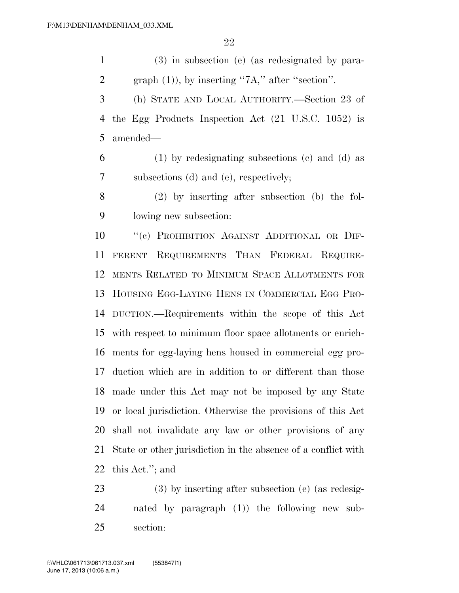(3) in subsection (e) (as redesignated by para-2 graph  $(1)$ ), by inserting "7A," after "section". (h) STATE AND LOCAL AUTHORITY.—Section 23 of the Egg Products Inspection Act (21 U.S.C. 1052) is amended— (1) by redesignating subsections (c) and (d) as subsections (d) and (e), respectively; (2) by inserting after subsection (b) the fol- lowing new subsection: ''(c) PROHIBITION AGAINST ADDITIONAL OR DIF- FERENT REQUIREMENTS THAN FEDERAL REQUIRE- MENTS RELATED TO MINIMUM SPACE ALLOTMENTS FOR HOUSING EGG-LAYING HENS IN COMMERCIAL EGG PRO- DUCTION.—Requirements within the scope of this Act with respect to minimum floor space allotments or enrich- ments for egg-laying hens housed in commercial egg pro- duction which are in addition to or different than those made under this Act may not be imposed by any State or local jurisdiction. Otherwise the provisions of this Act shall not invalidate any law or other provisions of any State or other jurisdiction in the absence of a conflict with this Act.''; and

 (3) by inserting after subsection (e) (as redesig- nated by paragraph (1)) the following new sub-section: